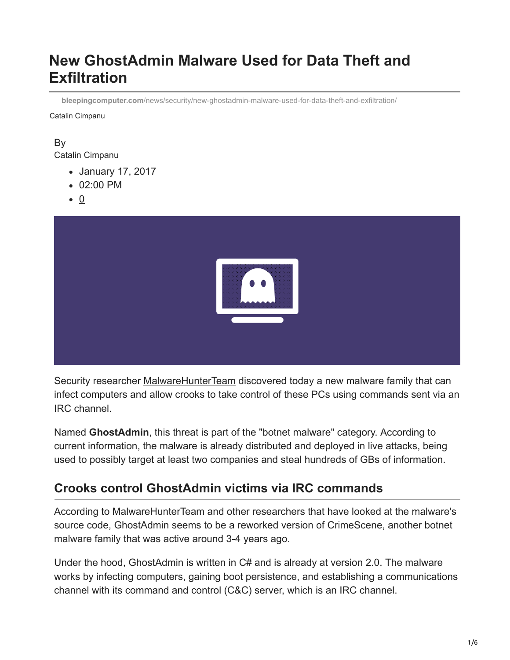# **New GhostAdmin Malware Used for Data Theft and Exfiltration**

**bleepingcomputer.com**[/news/security/new-ghostadmin-malware-used-for-data-theft-and-exfiltration/](https://www.bleepingcomputer.com/news/security/new-ghostadmin-malware-used-for-data-theft-and-exfiltration/)

Catalin Cimpanu

### By [Catalin Cimpanu](https://www.bleepingcomputer.com/author/catalin-cimpanu/)

- January 17, 2017
- 02:00 PM
- $\bullet$  0



Security researcher [MalwareHunterTeam](https://twitter.com/malwrhunterteam) discovered today a new malware family that can infect computers and allow crooks to take control of these PCs using commands sent via an IRC channel.

Named **GhostAdmin**, this threat is part of the "botnet malware" category. According to current information, the malware is already distributed and deployed in live attacks, being used to possibly target at least two companies and steal hundreds of GBs of information.

# **Crooks control GhostAdmin victims via IRC commands**

According to MalwareHunterTeam and other researchers that have looked at the malware's source code, GhostAdmin seems to be a reworked version of CrimeScene, another botnet malware family that was active around 3-4 years ago.

Under the hood, GhostAdmin is written in C# and is already at version 2.0. The malware works by infecting computers, gaining boot persistence, and establishing a communications channel with its command and control (C&C) server, which is an IRC channel.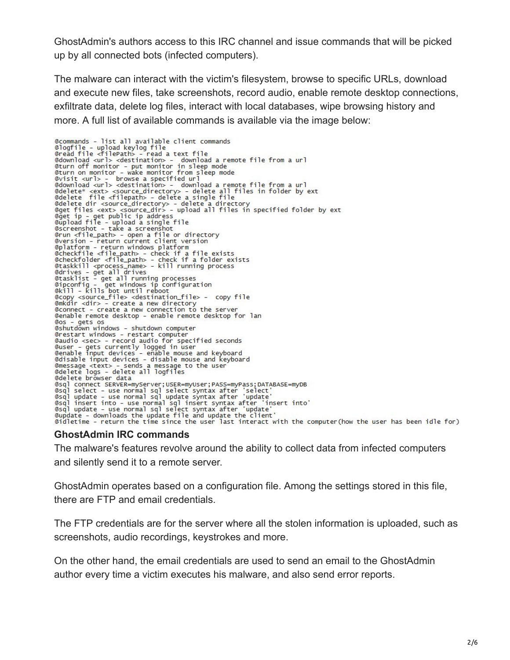GhostAdmin's authors access to this IRC channel and issue commands that will be picked up by all connected bots (infected computers).

The malware can interact with the victim's filesystem, browse to specific URLs, download and execute new files, take screenshots, record audio, enable remote desktop connections, exfiltrate data, delete log files, interact with local databases, wipe browsing history and more. A full list of available commands is available via the image below:

@commands - list all available client commands ecommands - Tisc att available - read a text file @read file <filePath> @download <url> <destination> download a remote file from a url edownload <url><url><url>><url>>>borthing in sleep mode<br>
eturn of monitor - put monitor in sleep mode<br>
eturn on monitor - wake monitor from sleep mode<br>
evisit <url> - browse a specified url @download <url> <destination> - download a remote file from a url edelete\* <ext> <source\_directory> - delete all files in folder by ext<br>@delete\* <ext> <source\_directory> - delete all files in folder by ext edelete dir <source\_directory> - delete a directory<br>@get files <ext> <source\_dir> - upload all files in specified folder by ext<br>@get files <ext> <source\_dir> - upload all files in specified folder by ext<br>@get ip - get publ @run <file\_path> - open a file or directory @version - return current client version @version - return current client version<br>@platform - return windows platform<br>@checkfile <file\_path> - check if a file exists<br>@checkfolder <file\_path> - check if a folder exists<br>@taskkill <process\_name> - kill running proce extractives = get all drives<br>
Carives = get all drives<br>
Carives = get all running processes<br>
Capconfig = get windows ip configuration<br>
Caril = kills bot until reboot ecopy <source\_file> <destination\_file> - copy file<br>@nkdir <dir> - create a new directory @connect - create a new connection to the server @enable remote desktop - enable remote desktop for lan @os – gets os<br>@shutdown windows – shutdown computer @restart windows - restart computer exact windows - record audio for specified seconds<br>
@user - gets currently logged in user<br>
@enable input devices - enable mouse and keyboard<br>
@disable input devices - disable mouse and keyboard emessage <text> - sends a message to the user<br>
@delete logs - delete all logfiles @delete browser data edeler browser uata<br>
Case of connect SERVER=myServer;USER=myUser;PASS=myPass;DATABASE=myDB<br>
Case of Select - use normal sql select syntax after 'select'<br>
Case of update - use normal sql update syntax after 'update'<br>
Case o @sql update - use normal sql select syntax after 'update' eupdate - downloads the update file and update the client' @idletime - return the time since the user last interact with the computer(how the user has been idle for)

### **GhostAdmin IRC commands**

The malware's features revolve around the ability to collect data from infected computers and silently send it to a remote server.

GhostAdmin operates based on a configuration file. Among the settings stored in this file, there are FTP and email credentials.

The FTP credentials are for the server where all the stolen information is uploaded, such as screenshots, audio recordings, keystrokes and more.

On the other hand, the email credentials are used to send an email to the GhostAdmin author every time a victim executes his malware, and also send error reports.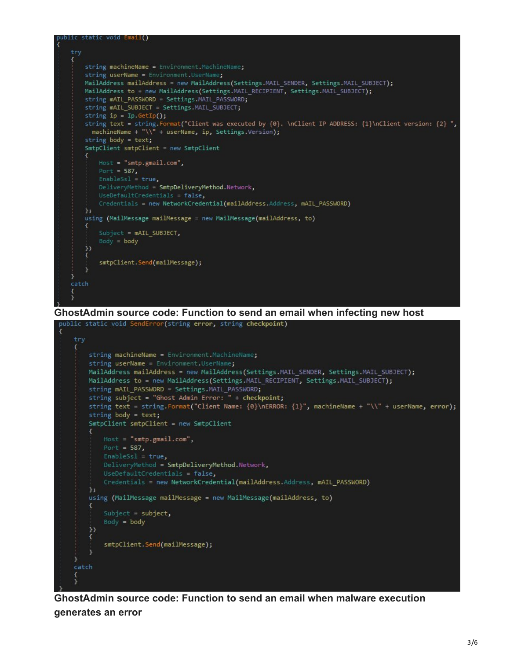

**GhostAdmin source code: Function to send an email when malware execution generates an error**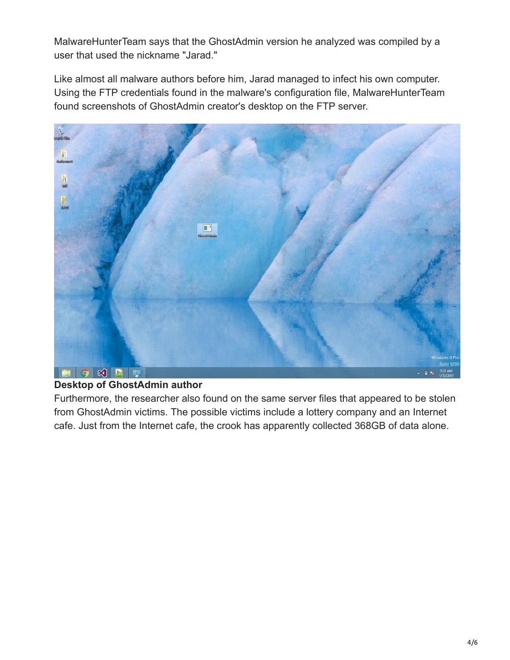MalwareHunterTeam says that the GhostAdmin version he analyzed was compiled by a user that used the nickname "Jarad."

Like almost all malware authors before him, Jarad managed to infect his own computer. Using the FTP credentials found in the malware's configuration file, MalwareHunterTeam found screenshots of GhostAdmin creator's desktop on the FTP server.



## **Desktop of GhostAdmin author**

Furthermore, the researcher also found on the same server files that appeared to be stolen from GhostAdmin victims. The possible victims include a lottery company and an Internet cafe. Just from the Internet cafe, the crook has apparently collected 368GB of data alone.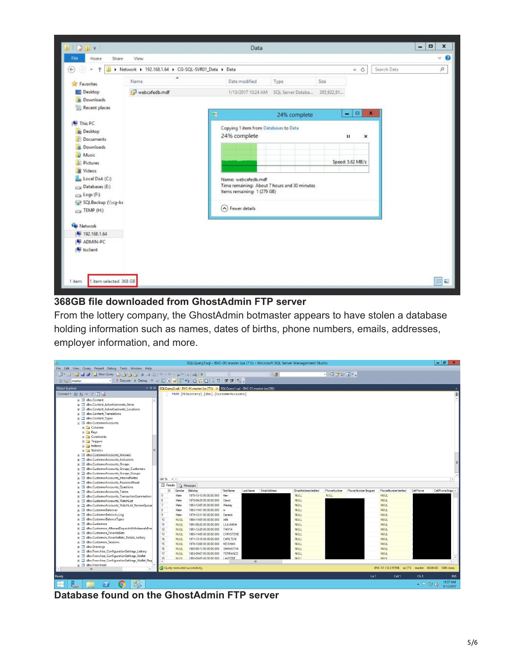

### **368GB file downloaded from GhostAdmin FTP server**

From the lottery company, the GhostAdmin botmaster appears to have stolen a database holding information such as names, dates of births, phone numbers, emails, addresses, employer information, and more.

|                                                                                          |                             |             |                                                                                         |                |                |              | SQLQuery2.sql - BVC-01.master (sa (71)) - Microsoft SQL Server Management Studio |               |                     |                                                     |                 | $ \theta$ x           |
|------------------------------------------------------------------------------------------|-----------------------------|-------------|-----------------------------------------------------------------------------------------|----------------|----------------|--------------|----------------------------------------------------------------------------------|---------------|---------------------|-----------------------------------------------------|-----------------|-----------------------|
| File Edit View Query Project Debug Tools Window Help                                     |                             |             |                                                                                         |                |                |              |                                                                                  |               |                     |                                                     |                 |                       |
|                                                                                          |                             |             |                                                                                         |                |                | $-129$       |                                                                                  | · 0 X 2 X 0 · |                     |                                                     |                 |                       |
| ▼   ! Execute > Debug ■ ▽ 設 中日   ! " 当 @ 确 @   三 2   ま ま   % 。<br><b>Elle Had master</b> |                             |             |                                                                                         |                |                |              |                                                                                  |               |                     |                                                     |                 |                       |
| <b>Object Explorer</b>                                                                   |                             |             | ▼ 4 × SQLQuery2.sql - BVC-01.master (sa (71)) × SQLQuery1.sql - BVC-01.master (sa (56)) |                |                |              |                                                                                  |               |                     |                                                     |                 |                       |
| Connect · 計 ま = 了 可 活                                                                    |                             |             | FROM [MCSLottery].[dbo].[CustomerAccounts]                                              |                |                |              |                                                                                  |               |                     |                                                     |                 | $\ddot{\ddagger}$     |
| H dbo.Content<br>$\land$                                                                 |                             |             |                                                                                         |                |                |              |                                                                                  |               |                     |                                                     |                 |                       |
| E dbo.Content_Advertisements_Items                                                       |                             |             |                                                                                         |                |                |              |                                                                                  |               |                     |                                                     |                 |                       |
| dbo.Content Advertisements Locations<br>田田                                               |                             |             |                                                                                         |                |                |              |                                                                                  |               |                     |                                                     |                 |                       |
| dbo.Content_Translations                                                                 |                             |             |                                                                                         |                |                |              |                                                                                  |               |                     |                                                     |                 |                       |
| El dbo.Content_Types                                                                     |                             |             |                                                                                         |                |                |              |                                                                                  |               |                     |                                                     |                 |                       |
| dbo.CustomerAccounts                                                                     |                             |             |                                                                                         |                |                |              |                                                                                  |               |                     |                                                     |                 |                       |
| E Columns                                                                                |                             |             |                                                                                         |                |                |              |                                                                                  |               |                     |                                                     |                 |                       |
| E Keys                                                                                   |                             |             |                                                                                         |                |                |              |                                                                                  |               |                     |                                                     |                 |                       |
| Constraints                                                                              |                             |             |                                                                                         |                |                |              |                                                                                  |               |                     |                                                     |                 |                       |
| $\blacksquare$ Triggers                                                                  |                             |             |                                                                                         |                |                |              |                                                                                  |               |                     |                                                     |                 |                       |
| Filmdexes                                                                                |                             |             |                                                                                         |                |                |              |                                                                                  |               |                     |                                                     |                 |                       |
| · Statistics                                                                             |                             |             |                                                                                         |                |                |              |                                                                                  |               |                     |                                                     |                 |                       |
| E dbo.CustomerAccounts_Answers                                                           |                             |             |                                                                                         |                |                |              |                                                                                  |               |                     |                                                     |                 |                       |
| dbo.CustomerAccounts Exclusions<br><b>B</b><br>田                                         |                             |             |                                                                                         |                |                |              |                                                                                  |               |                     |                                                     |                 |                       |
| dbo.CustomerAccounts_Groups<br>$\overline{13}$<br>团                                      |                             |             |                                                                                         |                |                |              |                                                                                  |               |                     |                                                     |                 |                       |
| dbo.CustomerAccounts_Groups_Customers<br>田国                                              |                             |             |                                                                                         |                |                |              |                                                                                  |               |                     |                                                     |                 |                       |
| dbo.CustomerAccounts Groups Groups<br>43<br>团                                            |                             |             |                                                                                         |                |                |              |                                                                                  |               |                     |                                                     |                 |                       |
| dbo.CustomerAccounts InternalNotes<br>団<br>团                                             | $100 \%$ $\rightarrow$ <    |             |                                                                                         |                |                |              |                                                                                  |               |                     |                                                     |                 | $\rightarrow$         |
| dbo.CustomerAccounts PasswordReset<br>田田                                                 | Results <b>The Messages</b> |             |                                                                                         |                |                |              |                                                                                  |               |                     |                                                     |                 |                       |
| dbo.CustomerAccounts Questions<br>田<br>例<br>dbo.CustomerAccounts_Token                   | ID.                         | Gender      | Birthday                                                                                | First Name     | Last Name      | EmailAddress | Email Address Ventied                                                            | PhoneNumber   | PhoneNumberStripped | PhoneNumberVerified                                 | CellPhone       | CellPhoneStripp       |
| 田田<br>dbo.CustomerAccounts TransactionSummation<br>圖                                     | 5                           | Male        | 1978-10-10 00:00:00.000                                                                 | Ken            |                |              | <b>NULL</b>                                                                      | <b>NULL</b>   |                     | <b>NULL</b>                                         |                 |                       |
| 田<br>dbo.CustomerAccounts_WatchList<br>83                                                | 6                           | Male        | 1978-04-29 00:00:00.000                                                                 | David          |                |              | <b>NULL</b>                                                                      |               |                     | <b>NULL</b>                                         |                 |                       |
| 囲<br>dbo.CustomerAccounts_WatchList_ReviewQueue<br>园<br>田                                |                             | Male        | 1983-10-05 00:00:00.000                                                                 | Wesley         |                |              | <b>NULL</b>                                                                      |               |                     | <b>NULL</b>                                         |                 |                       |
| dbo.CustomerBalances<br>田田                                                               | $\mathbf{8}$                | Male        | 1983-11-01 00:00:00.000                                                                 | w              |                |              | <b>NULL</b>                                                                      |               |                     | <b>NULL</b>                                         |                 |                       |
| dbo.CustomerBalances_Loq<br>田<br>团                                                       | $\mathbf{9}$                | Male        | 1979-10-31 00:00:00.000                                                                 | Derreck        |                |              | <b>NULL</b>                                                                      |               |                     | <b>NULL</b>                                         |                 |                       |
| dbo.CustomerBalanceTvpes<br>田田                                                           | 10                          | <b>NULL</b> | 1969-11-05 00:00:00.000                                                                 | <b>IAN</b>     |                |              | <b>NULL</b>                                                                      |               |                     | <b>NULL</b>                                         |                 |                       |
| dbo.Customers<br><b>Fair</b><br>14                                                       | 11                          | <b>NULL</b> | 1991-08-20 00:00:00.000                                                                 | LILLIANNA      |                |              | NULL                                                                             |               |                     | <b>NULL</b>                                         |                 |                       |
| dbo.Customers_AllowedDepositsWithdrawalsFran<br>田田                                       | 12                          | <b>NULL</b> | 1981-12-28 00:00:00.000                                                                 | <b>TANYA</b>   |                |              | <b>NULL</b>                                                                      |               |                     | <b>NULL</b>                                         |                 |                       |
| dbo.Customers FavoriteBets<br>圃<br>田                                                     | 13                          | <b>NULL</b> | 1965-11-05 00:00:00.000                                                                 | CHRISTENE      |                |              | <b>NULL</b>                                                                      |               |                     | <b>NULL</b>                                         |                 |                       |
| dbo.Customers FavoriteBets Details Lottery<br><b>B</b><br>国                              | 14                          | <b>NULL</b> | 1971-10-16 00:00:00.000                                                                 | CARLTON        |                |              | <b>NULL</b>                                                                      |               |                     | <b>NULL</b>                                         |                 |                       |
| dbo.Customers_Sessions<br>$\overline{133}$<br>田                                          | 15                          | <b>NULL</b> | 1976-10-08 00:00:00.000                                                                 | <b>KEISHAN</b> |                |              | <b>NULL</b>                                                                      |               |                     | <b>NULL</b>                                         |                 |                       |
| E dbo.Drawings                                                                           | 16                          | <b>NULL</b> | 1985-08-13 00:00:00.000                                                                 | SAMANTHA       |                |              | <b>NULL</b>                                                                      |               |                     | <b>NULL</b>                                         |                 |                       |
| dbo.Franchise ConfigurationSettings Lottery<br>B<br>团                                    | 17                          | <b>NULL</b> | 1983-09-07 00:00:00.000                                                                 | TERRANCE       |                |              | <b>NULL</b>                                                                      |               |                     | <b>NULL</b>                                         |                 |                       |
| E dbo.Franchise_ConfigurationSettings_Wallet                                             | 18                          | <b>NULL</b> | 1992-01-05 00:00:00 000                                                                 | <b>LAVETTE</b> |                |              | <b>NHH</b>                                                                       |               |                     | <b>NULL</b>                                         |                 |                       |
| E dbo.Franchise_ConfigurationSettings_Wallet_Req                                         | $\langle$                   |             |                                                                                         |                | $\mathbf{III}$ |              |                                                                                  |               |                     |                                                     |                 | $\rightarrow$         |
| Fill dbo.Franchises                                                                      |                             |             | Query executed successfully.                                                            |                |                |              |                                                                                  |               |                     | BVC-01 (12.0 RTM) sa (71) master 00:00:00 1000 rows |                 |                       |
| $\langle$<br>$\rightarrow$<br>m                                                          |                             |             |                                                                                         |                |                |              |                                                                                  |               |                     |                                                     |                 |                       |
| Ready                                                                                    |                             |             |                                                                                         |                |                |              |                                                                                  |               | Ln 1                | Col 1                                               | Ch <sub>1</sub> | <b>INS</b>            |
| Цļ.<br>æ<br>$\sum$<br>O<br>굳<br>÷.                                                       |                             |             |                                                                                         |                |                |              |                                                                                  |               |                     |                                                     | $ P P Q$        | 11:57 AM<br>1/12/2017 |

**Database found on the GhostAdmin FTP server**